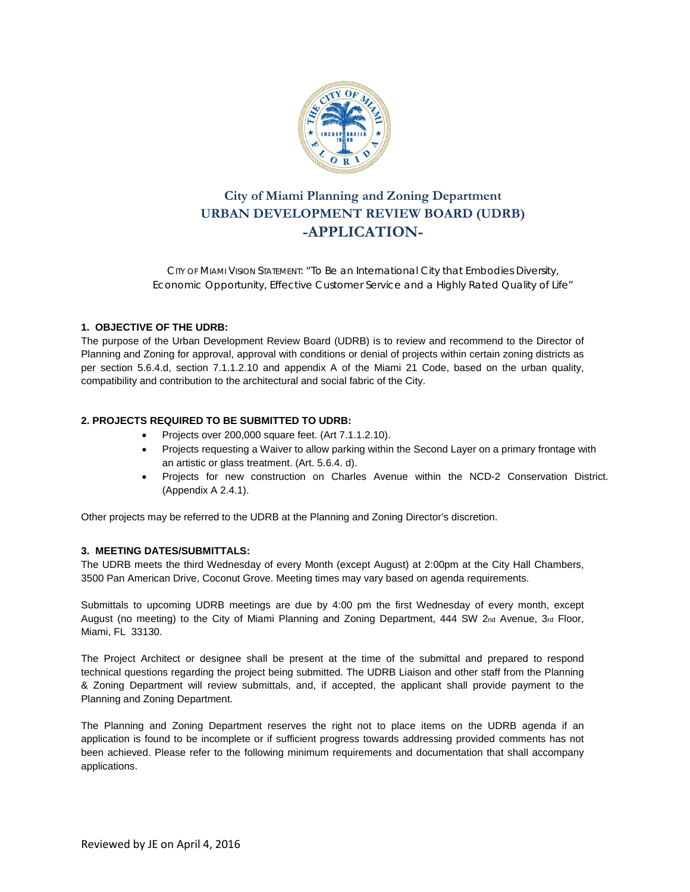

# **City of Miami Planning and Zoning Department URBAN DEVELOPMENT REVIEW BOARD (UDRB) -APPLICATION-**

CITY OF MIAMI VISION STATEMENT: *"To Be an International City that Embodies Diversity, Economic Opportunity, Effective Customer Service and a Highly Rated Quality of Life"*

### **1. OBJECTIVE OF THE UDRB:**

The purpose of the Urban Development Review Board (UDRB) is to review and recommend to the Director of Planning and Zoning for approval, approval with conditions or denial of projects within certain zoning districts as per section 5.6.4.d, section 7.1.1.2.10 and appendix A of the Miami 21 Code, based on the urban quality, compatibility and contribution to the architectural and social fabric of the City.

## **2. PROJECTS REQUIRED TO BE SUBMITTED TO UDRB:**

- Projects over 200,000 square feet. (Art 7.1.1.2.10).
- Projects requesting a Waiver to allow parking within the Second Layer on a primary frontage with an artistic or glass treatment. (Art. 5.6.4. d).
- Projects for new construction on Charles Avenue within the NCD-2 Conservation District. (Appendix A 2.4.1).

Other projects may be referred to the UDRB at the Planning and Zoning Director's discretion.

### **3. MEETING DATES/SUBMITTALS:**

The UDRB meets the third Wednesday of every Month (except August) at 2:00pm at the City Hall Chambers, 3500 Pan American Drive, Coconut Grove. Meeting times may vary based on agenda requirements.

Submittals to upcoming UDRB meetings are due by 4:00 pm the first Wednesday of every month, except August (no meeting) to the City of Miami Planning and Zoning Department, 444 SW 2nd Avenue, 3rd Floor, Miami, FL 33130.

The Project Architect or designee shall be present at the time of the submittal and prepared to respond technical questions regarding the project being submitted. The UDRB Liaison and other staff from the Planning & Zoning Department will review submittals, and, if accepted, the applicant shall provide payment to the Planning and Zoning Department.

The Planning and Zoning Department reserves the right not to place items on the UDRB agenda if an application is found to be incomplete or if sufficient progress towards addressing provided comments has not been achieved. Please refer to the following minimum requirements and documentation that shall accompany applications.